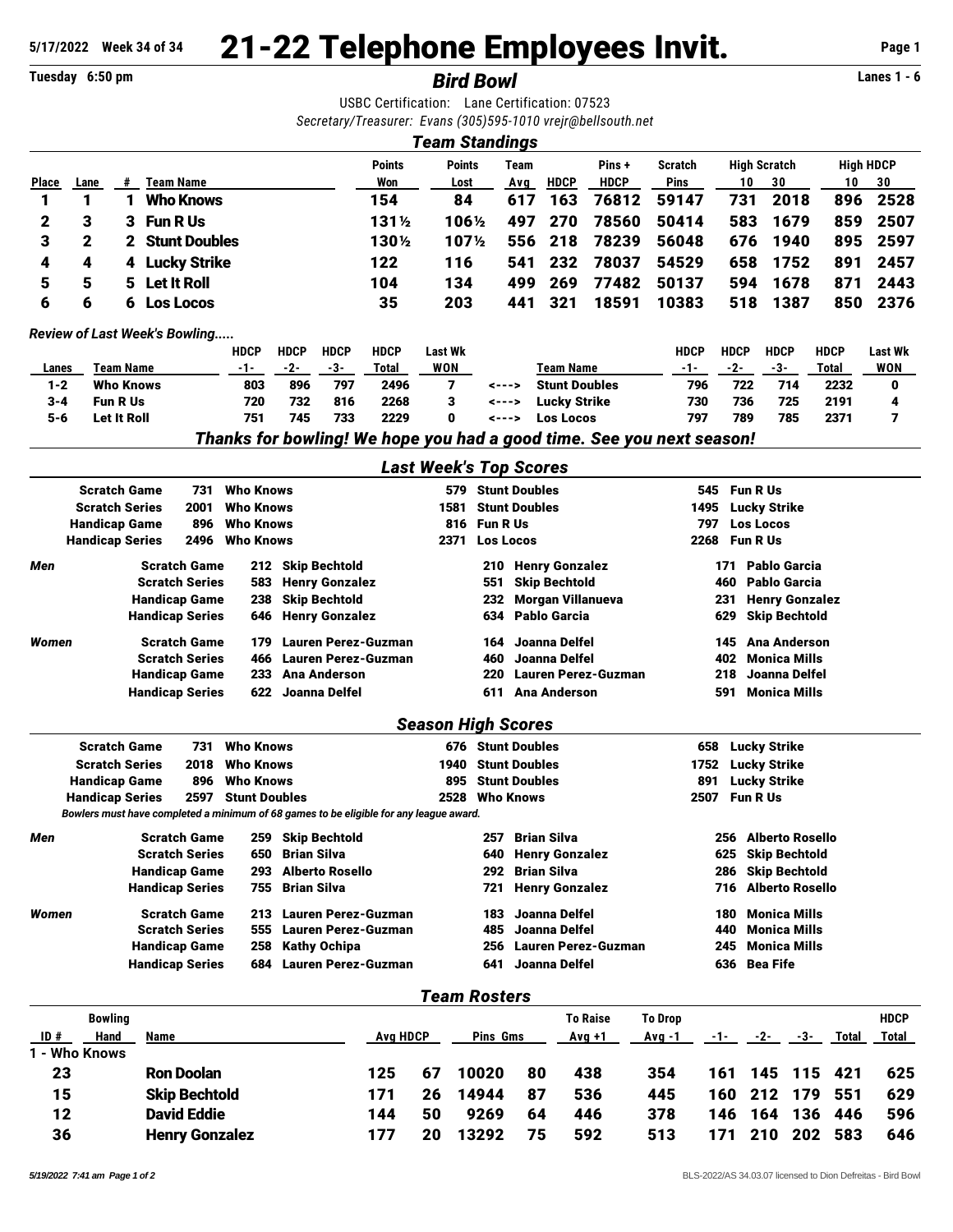## 21-22 Telephone Employees Invit. **5/17/2022 Week 34 of 34 Page 1**

**Tuesday 6:50 pm** *Bird Bowl* **Lanes 1 - 6**

USBC Certification: Lane Certification: 07523

|              |                             |                      |                                      |      |                            |                            |                       |                                                    | ocitinguion. Lang ocitinguion.    |                                 |             |                       | Secretary/Treasurer: Evans (305)595-1010 vrejr@bellsouth.net |                                                                       |                  |                      |              |                  |  |  |
|--------------|-----------------------------|----------------------|--------------------------------------|------|----------------------------|----------------------------|-----------------------|----------------------------------------------------|-----------------------------------|---------------------------------|-------------|-----------------------|--------------------------------------------------------------|-----------------------------------------------------------------------|------------------|----------------------|--------------|------------------|--|--|
|              |                             |                      |                                      |      |                            |                            |                       |                                                    | <b>Team Standings</b>             |                                 |             |                       |                                                              |                                                                       |                  |                      |              |                  |  |  |
|              |                             |                      |                                      |      |                            |                            |                       | <b>Points</b>                                      | <b>Points</b>                     |                                 | <b>Team</b> |                       | Pins+                                                        | <b>Scratch</b>                                                        |                  | <b>High Scratch</b>  |              | <b>High HDCP</b> |  |  |
| <b>Place</b> | Lane                        | #                    | <b>Team Name</b>                     |      |                            |                            |                       | Won                                                | Lost                              |                                 | Avg         | <b>HDCP</b>           | <b>HDCP</b>                                                  | <b>Pins</b>                                                           | 10               | 30                   | 10           | 30               |  |  |
| 1            | 1                           | 1                    | <b>Who Knows</b>                     |      |                            |                            |                       | 154                                                | 84                                |                                 | 617         | 163                   | 76812                                                        | 59147                                                                 | 731              | 2018                 | 896          | 2528             |  |  |
| 2            | З                           | 3                    | <b>Fun R Us</b>                      |      |                            |                            |                       | 131½                                               | 106½                              |                                 | 497         | 270                   | 78560                                                        | 50414                                                                 | 583              | 1679                 | 859          | 2507             |  |  |
| 3            | 2                           | 2                    | <b>Stunt Doubles</b>                 |      |                            |                            |                       | 1301/2                                             | 1071/2                            |                                 | 556         | 218                   | 78239                                                        | 56048                                                                 | 676              | 1940                 | 895          | 2597             |  |  |
| 4            | 4                           | 4                    | <b>Lucky Strike</b>                  |      |                            |                            |                       | 122                                                | 116                               |                                 | 541         | 232                   | 78037                                                        | 54529                                                                 | 658              | 1752                 | 891          | 2457             |  |  |
| 5            | 5                           | 5                    | <b>Let It Roll</b>                   |      |                            |                            |                       | 104                                                | 134                               |                                 | 499         | 269                   | 77482                                                        | 50137                                                                 | 594              | 1678                 | 871          | 2443             |  |  |
| 6            | 6                           | 6                    | <b>Los Locos</b>                     |      |                            |                            |                       | 35                                                 | 203                               |                                 | 441         | 321                   | 18591                                                        | 10383                                                                 | 518              | 1387                 | 850          | 2376             |  |  |
|              |                             |                      | <b>Review of Last Week's Bowling</b> |      |                            |                            |                       |                                                    |                                   |                                 |             |                       |                                                              |                                                                       |                  |                      |              |                  |  |  |
|              |                             |                      |                                      |      | <b>HDCP</b>                | <b>HDCP</b>                | <b>HDCP</b>           | <b>HDCP</b>                                        | Last Wk                           |                                 |             |                       |                                                              | <b>HDCP</b>                                                           | <b>HDCP</b>      | <b>HDCP</b>          | <b>HDCP</b>  | Last Wk          |  |  |
| Lanes        |                             | <b>Team Name</b>     |                                      |      | $-1-$                      | $-2-$                      | $-3-$                 | <b>Total</b>                                       | <b>WON</b>                        |                                 |             | <b>Team Name</b>      |                                                              | $-1-$                                                                 | $-2-$            | $-3-$                | <b>Total</b> | <b>WON</b>       |  |  |
|              | <b>Who Knows</b><br>$1 - 2$ |                      |                                      | 803  | 896                        | 797                        | 2496                  | 7                                                  | <b>Stunt Doubles</b><br>$- - -$   |                                 |             | 796                   | 722                                                          | 714                                                                   | 2232             | 0                    |              |                  |  |  |
|              | $3 - 4$<br><b>Fun R Us</b>  |                      |                                      | 720  | 732                        | 816                        | 2268                  | 3                                                  | <b>Lucky Strike</b><br><--->      |                                 |             |                       | 730                                                          | 736                                                                   | 725              | 2191                 | 4            |                  |  |  |
| $5 - 6$      |                             | <b>Let It Roll</b>   |                                      |      | 751                        | 745                        | 733                   | 2229                                               | 0                                 | <--->                           |             | <b>Los Locos</b>      |                                                              | 797                                                                   | 789              | 785                  | 2371         | 7                |  |  |
|              |                             |                      |                                      |      |                            |                            |                       |                                                    |                                   |                                 |             |                       |                                                              | Thanks for bowling! We hope you had a good time. See you next season! |                  |                      |              |                  |  |  |
|              |                             |                      |                                      |      |                            |                            |                       |                                                    | <b>Last Week's Top Scores</b>     |                                 |             |                       |                                                              |                                                                       |                  |                      |              |                  |  |  |
|              | <b>Scratch Game</b>         |                      |                                      | 731  | <b>Who Knows</b>           |                            |                       |                                                    | 579                               | <b>Stunt Doubles</b>            |             |                       |                                                              | 545                                                                   | <b>Fun R Us</b>  |                      |              |                  |  |  |
|              | <b>Scratch Series</b>       |                      |                                      | 2001 | <b>Who Knows</b>           |                            |                       |                                                    | 1581                              | <b>Stunt Doubles</b>            |             |                       |                                                              | <b>Lucky Strike</b><br>1495                                           |                  |                      |              |                  |  |  |
|              | <b>Handicap Game</b>        |                      |                                      | 896  | Who Knows                  |                            |                       |                                                    | 816                               | <b>Fun R Us</b>                 |             |                       |                                                              | <b>Los Locos</b><br>797                                               |                  |                      |              |                  |  |  |
|              | <b>Handicap Series</b>      |                      |                                      | 2496 | <b>Who Knows</b>           |                            |                       |                                                    | 2371                              | <b>Los Locos</b>                |             |                       |                                                              | 2268                                                                  | Fun R Us         |                      |              |                  |  |  |
| Men          |                             |                      | <b>Scratch Game</b>                  |      | 212                        |                            | <b>Skip Bechtold</b>  |                                                    |                                   | 210                             |             | <b>Henry Gonzalez</b> |                                                              |                                                                       | 171              | Pablo Garcia         |              |                  |  |  |
|              |                             |                      | <b>Scratch Series</b>                |      | 583                        |                            | <b>Henry Gonzalez</b> |                                                    |                                   | 551                             |             | <b>Skip Bechtold</b>  |                                                              |                                                                       | 460              | <b>Pablo Garcia</b>  |              |                  |  |  |
|              |                             | <b>Handicap Game</b> |                                      |      | 238                        | <b>Skip Bechtold</b>       |                       |                                                    |                                   | <b>Morgan Villanueva</b><br>232 |             |                       |                                                              | <b>Henry Gonzalez</b><br>231                                          |                  |                      |              |                  |  |  |
|              |                             |                      | <b>Handicap Series</b>               |      | 646                        |                            | <b>Henry Gonzalez</b> |                                                    |                                   | 634                             |             | <b>Pablo Garcia</b>   |                                                              |                                                                       | 629              | <b>Skip Bechtold</b> |              |                  |  |  |
| Women        |                             |                      | <b>Scratch Game</b>                  |      | 179                        | <b>Lauren Perez-Guzman</b> |                       |                                                    |                                   | 164                             |             | Joanna Delfel         |                                                              |                                                                       | 145              | <b>Ana Anderson</b>  |              |                  |  |  |
|              |                             |                      | <b>Scratch Series</b>                |      | 466                        |                            |                       | <b>Lauren Perez-Guzman</b><br>Joanna Delfel<br>460 |                                   |                                 |             |                       |                                                              | 402<br><b>Monica Mills</b>                                            |                  |                      |              |                  |  |  |
|              |                             | <b>Handicap Game</b> |                                      |      | <b>Ana Anderson</b><br>233 |                            |                       |                                                    | <b>Lauren Perez-Guzman</b><br>220 |                                 |             |                       | 218                                                          | Joanna Delfel                                                         |                  |                      |              |                  |  |  |
|              |                             |                      | <b>Handicap Series</b>               |      | 622                        |                            | Joanna Delfel         |                                                    |                                   | 611                             |             | <b>Ana Anderson</b>   |                                                              |                                                                       | 591              | <b>Monica Mills</b>  |              |                  |  |  |
|              |                             |                      |                                      |      |                            |                            |                       |                                                    | <b>Season High Scores</b>         |                                 |             |                       |                                                              |                                                                       |                  |                      |              |                  |  |  |
|              | <b>Scratch Game</b>         |                      |                                      | 731  | <b>Who Knows</b>           |                            |                       |                                                    |                                   | 676 Stunt Doubles               |             |                       |                                                              |                                                                       | 658 Lucky Strike |                      |              |                  |  |  |

## Scratch Series 2018 Who Knows 1940 Stunt Doubles 1752 Lucky Strike Handicap Game 896 Who Knows 895 Stunt Doubles 891 Lucky Strike Handicap Series 2597 Stunt Doubles 2528 Who Knows 2507 Fun R Us *Bowlers must have completed a minimum of 68 games to be eligible for any league award. Men* Scratch Game 259 Skip Bechtold 257 Brian Silva 256 Alberto Rosello

| <b>Scratch Series</b>  |  |                                                                                                                                                                |                                                                                                                                                       |                                                                                                                                       |
|------------------------|--|----------------------------------------------------------------------------------------------------------------------------------------------------------------|-------------------------------------------------------------------------------------------------------------------------------------------------------|---------------------------------------------------------------------------------------------------------------------------------------|
| <b>Handicap Game</b>   |  |                                                                                                                                                                |                                                                                                                                                       |                                                                                                                                       |
| <b>Handicap Series</b> |  |                                                                                                                                                                |                                                                                                                                                       |                                                                                                                                       |
| <b>Scratch Game</b>    |  |                                                                                                                                                                | 180.                                                                                                                                                  |                                                                                                                                       |
| <b>Scratch Series</b>  |  |                                                                                                                                                                |                                                                                                                                                       |                                                                                                                                       |
| <b>Handicap Game</b>   |  |                                                                                                                                                                |                                                                                                                                                       |                                                                                                                                       |
| <b>Handicap Series</b> |  |                                                                                                                                                                |                                                                                                                                                       |                                                                                                                                       |
|                        |  | 650 Brian Silva<br>293 Alberto Rosello<br>755 Brian Silva<br>213 Lauren Perez-Guzman<br>555 Lauren Perez-Guzman<br>258 Kathy Ochipa<br>684 Lauren Perez-Guzman | 640 Henry Gonzalez<br>292 Brian Silva<br>721 Henry Gonzalez<br>183 Joanna Delfel<br>485 Joanna Delfel<br>256 Lauren Perez-Guzman<br>641 Joanna Delfel | 625 Skip Bechtold<br>286 Skip Bechtold<br>716 Alberto Rosello<br>Monica Mills<br>440 Monica Mills<br>245 Monica Mills<br>636 Bea Fife |

## *Team Rosters*

|               | <b>Bowling</b> |                       |     |          |       |          | <b>To Raise</b> | <b>To Drop</b> |       |       |     |       | <b>HDCP</b> |
|---------------|----------------|-----------------------|-----|----------|-------|----------|-----------------|----------------|-------|-------|-----|-------|-------------|
| ID#           | Hand           | Name                  |     | Ava HDCP |       | Pins Gms |                 | Avg -1         | $-1-$ | $-2-$ | -3- | Total | Total       |
| 1 - Who Knows |                |                       |     |          |       |          |                 |                |       |       |     |       |             |
| 23            |                | <b>Ron Doolan</b>     | 125 | 67       | 10020 | 80       | 438             | 354            | 161   | - 145 | 115 | 421   | 625         |
| 15            |                | <b>Skip Bechtold</b>  | 171 | 26       | 14944 | 87       | 536             | 445            | 160   | 212   | 179 | 551   | 629         |
| 12            |                | <b>David Eddie</b>    | 144 | 50       | 9269  | 64       | 446             | 378            | 146   | 164   | 136 | 446   | 596         |
| 36            |                | <b>Henry Gonzalez</b> | 177 | 20       | 13292 | 75       | 592             | 513            | 171   | 210   | 202 | 583   | 646         |